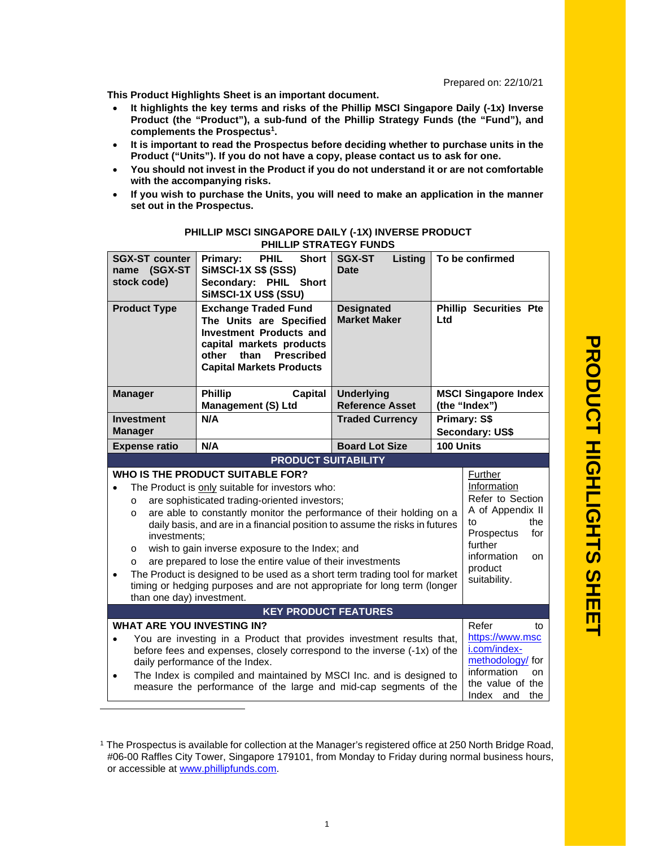**This Product Highlights Sheet is an important document.**

- **It highlights the key terms and risks of the Phillip MSCI Singapore Daily (-1x) Inverse Product (the "Product"), a sub-fund of the Phillip Strategy Funds (the "Fund"), and complements the Prospectus<sup>1</sup> .**
- **It is important to read the Prospectus before deciding whether to purchase units in the Product ("Units"). If you do not have a copy, please contact us to ask for one.**
- **You should not invest in the Product if you do not understand it or are not comfortable with the accompanying risks.**
- **If you wish to purchase the Units, you will need to make an application in the manner set out in the Prospectus.**

|                             | <b>SGX-ST counter</b><br>name (SGX-ST<br>stock code)                                                                                                                                                                                                                                                                                                                                                                                                                                                                                                                                                                                                                                                                                                                                                                              | PHIL<br><b>Short</b><br>Primary:<br><b>SiMSCI-1X S\$ (SSS)</b><br>Secondary: PHIL Short<br>SiMSCI-1X US\$ (SSU)                                                                               | <b>SGX-ST</b><br>Listing<br><b>Date</b>     |           | To be confirmed                              |
|-----------------------------|-----------------------------------------------------------------------------------------------------------------------------------------------------------------------------------------------------------------------------------------------------------------------------------------------------------------------------------------------------------------------------------------------------------------------------------------------------------------------------------------------------------------------------------------------------------------------------------------------------------------------------------------------------------------------------------------------------------------------------------------------------------------------------------------------------------------------------------|-----------------------------------------------------------------------------------------------------------------------------------------------------------------------------------------------|---------------------------------------------|-----------|----------------------------------------------|
|                             | <b>Product Type</b>                                                                                                                                                                                                                                                                                                                                                                                                                                                                                                                                                                                                                                                                                                                                                                                                               | <b>Exchange Traded Fund</b><br>The Units are Specified<br><b>Investment Products and</b><br>capital markets products<br>other<br>than<br><b>Prescribed</b><br><b>Capital Markets Products</b> | <b>Designated</b><br><b>Market Maker</b>    | Ltd       | <b>Phillip Securities Pte</b>                |
|                             | <b>Manager</b>                                                                                                                                                                                                                                                                                                                                                                                                                                                                                                                                                                                                                                                                                                                                                                                                                    | <b>Phillip</b><br>Capital<br><b>Management (S) Ltd</b>                                                                                                                                        | <b>Underlying</b><br><b>Reference Asset</b> |           | <b>MSCI Singapore Index</b><br>(the "Index") |
|                             | <b>Investment</b><br><b>Manager</b>                                                                                                                                                                                                                                                                                                                                                                                                                                                                                                                                                                                                                                                                                                                                                                                               | N/A                                                                                                                                                                                           | <b>Traded Currency</b>                      |           | Primary: S\$<br>Secondary: US\$              |
|                             | <b>Expense ratio</b>                                                                                                                                                                                                                                                                                                                                                                                                                                                                                                                                                                                                                                                                                                                                                                                                              | N/A                                                                                                                                                                                           | <b>Board Lot Size</b>                       | 100 Units |                                              |
|                             |                                                                                                                                                                                                                                                                                                                                                                                                                                                                                                                                                                                                                                                                                                                                                                                                                                   | <b>PRODUCT SUITABILITY</b>                                                                                                                                                                    |                                             |           |                                              |
| $\bullet$                   | <b>WHO IS THE PRODUCT SUITABLE FOR?</b><br>Further<br>Information<br>The Product is only suitable for investors who:<br>Refer to Section<br>are sophisticated trading-oriented investors;<br>$\circ$<br>A of Appendix II<br>are able to constantly monitor the performance of their holding on a<br>$\circ$<br>the<br>to<br>daily basis, and are in a financial position to assume the risks in futures<br>Prospectus<br>for<br>investments;<br>further<br>wish to gain inverse exposure to the Index; and<br>O<br>information<br>on.<br>are prepared to lose the entire value of their investments<br>$\Omega$<br>product<br>The Product is designed to be used as a short term trading tool for market<br>suitability.<br>timing or hedging purposes and are not appropriate for long term (longer<br>than one day) investment. |                                                                                                                                                                                               |                                             |           |                                              |
| <b>KEY PRODUCT FEATURES</b> |                                                                                                                                                                                                                                                                                                                                                                                                                                                                                                                                                                                                                                                                                                                                                                                                                                   |                                                                                                                                                                                               |                                             |           |                                              |
| $\bullet$<br>$\bullet$      | <b>WHAT ARE YOU INVESTING IN?</b><br>Refer<br>tο<br>https://www.msc<br>You are investing in a Product that provides investment results that,<br>i.com/index-<br>before fees and expenses, closely correspond to the inverse (-1x) of the<br>methodology/ for<br>daily performance of the Index.<br>information<br>on<br>The Index is compiled and maintained by MSCI Inc. and is designed to<br>the value of the<br>measure the performance of the large and mid-cap segments of the<br>Index and<br>the                                                                                                                                                                                                                                                                                                                          |                                                                                                                                                                                               |                                             |           |                                              |

## **PHILLIP MSCI SINGAPORE DAILY (-1X) INVERSE PRODUCT PHILLIP STRATEGY FUNDS**

<sup>1</sup> The Prospectus is available for collection at the Manager's registered office at 250 North Bridge Road, #06-00 Raffles City Tower, Singapore 179101, from Monday to Friday during normal business hours, or accessible at www.phillipfunds.com.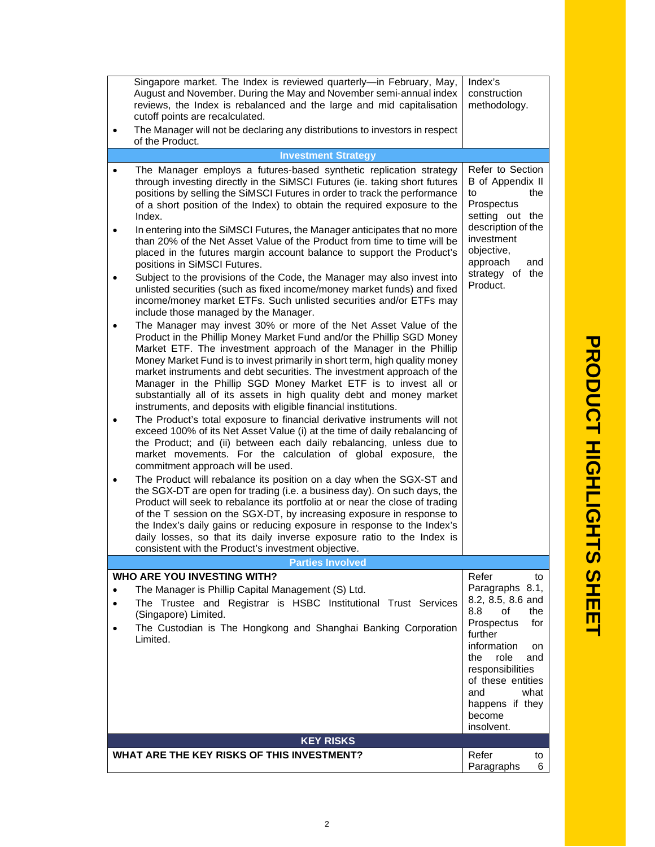|                                                       | Singapore market. The Index is reviewed quarterly-in February, May,<br>August and November. During the May and November semi-annual index<br>reviews, the Index is rebalanced and the large and mid capitalisation<br>cutoff points are recalculated.<br>The Manager will not be declaring any distributions to investors in respect<br>of the Product.                                                                                                                                                                                                                                                                                                                                                                                                                                                                                                                                                                                                                                                                                                                                                                                                                                                                                                                                                                                                                                                                                                                                                                                                                                                                                                                                                                                                                                                                                                                                                                                                                                                                                                                                                                                                                                                                                                                                                              | Index's<br>construction<br>methodology.                                                                                                                                                                                                |
|-------------------------------------------------------|----------------------------------------------------------------------------------------------------------------------------------------------------------------------------------------------------------------------------------------------------------------------------------------------------------------------------------------------------------------------------------------------------------------------------------------------------------------------------------------------------------------------------------------------------------------------------------------------------------------------------------------------------------------------------------------------------------------------------------------------------------------------------------------------------------------------------------------------------------------------------------------------------------------------------------------------------------------------------------------------------------------------------------------------------------------------------------------------------------------------------------------------------------------------------------------------------------------------------------------------------------------------------------------------------------------------------------------------------------------------------------------------------------------------------------------------------------------------------------------------------------------------------------------------------------------------------------------------------------------------------------------------------------------------------------------------------------------------------------------------------------------------------------------------------------------------------------------------------------------------------------------------------------------------------------------------------------------------------------------------------------------------------------------------------------------------------------------------------------------------------------------------------------------------------------------------------------------------------------------------------------------------------------------------------------------------|----------------------------------------------------------------------------------------------------------------------------------------------------------------------------------------------------------------------------------------|
|                                                       | <b>Investment Strategy</b>                                                                                                                                                                                                                                                                                                                                                                                                                                                                                                                                                                                                                                                                                                                                                                                                                                                                                                                                                                                                                                                                                                                                                                                                                                                                                                                                                                                                                                                                                                                                                                                                                                                                                                                                                                                                                                                                                                                                                                                                                                                                                                                                                                                                                                                                                           |                                                                                                                                                                                                                                        |
| $\bullet$<br>$\bullet$<br>$\bullet$<br>٠<br>$\bullet$ | The Manager employs a futures-based synthetic replication strategy<br>through investing directly in the SiMSCI Futures (ie. taking short futures<br>positions by selling the SiMSCI Futures in order to track the performance<br>of a short position of the Index) to obtain the required exposure to the<br>Index.<br>In entering into the SiMSCI Futures, the Manager anticipates that no more<br>than 20% of the Net Asset Value of the Product from time to time will be<br>placed in the futures margin account balance to support the Product's<br>positions in SiMSCI Futures.<br>Subject to the provisions of the Code, the Manager may also invest into<br>unlisted securities (such as fixed income/money market funds) and fixed<br>income/money market ETFs. Such unlisted securities and/or ETFs may<br>include those managed by the Manager.<br>The Manager may invest 30% or more of the Net Asset Value of the<br>Product in the Phillip Money Market Fund and/or the Phillip SGD Money<br>Market ETF. The investment approach of the Manager in the Phillip<br>Money Market Fund is to invest primarily in short term, high quality money<br>market instruments and debt securities. The investment approach of the<br>Manager in the Phillip SGD Money Market ETF is to invest all or<br>substantially all of its assets in high quality debt and money market<br>instruments, and deposits with eligible financial institutions.<br>The Product's total exposure to financial derivative instruments will not<br>exceed 100% of its Net Asset Value (i) at the time of daily rebalancing of<br>the Product; and (ii) between each daily rebalancing, unless due to<br>market movements. For the calculation of global exposure, the<br>commitment approach will be used.<br>The Product will rebalance its position on a day when the SGX-ST and<br>the SGX-DT are open for trading (i.e. a business day). On such days, the<br>Product will seek to rebalance its portfolio at or near the close of trading<br>of the T session on the SGX-DT, by increasing exposure in response to<br>the Index's daily gains or reducing exposure in response to the Index's<br>daily losses, so that its daily inverse exposure ratio to the Index is<br>consistent with the Product's investment objective. | Refer to Section<br>B of Appendix II<br>to<br>the<br>Prospectus<br>setting out the<br>description of the<br>investment<br>objective,<br>approach<br>and<br>strategy of the<br>Product.                                                 |
|                                                       | <b>Parties Involved</b>                                                                                                                                                                                                                                                                                                                                                                                                                                                                                                                                                                                                                                                                                                                                                                                                                                                                                                                                                                                                                                                                                                                                                                                                                                                                                                                                                                                                                                                                                                                                                                                                                                                                                                                                                                                                                                                                                                                                                                                                                                                                                                                                                                                                                                                                                              |                                                                                                                                                                                                                                        |
|                                                       | WHO ARE YOU INVESTING WITH?                                                                                                                                                                                                                                                                                                                                                                                                                                                                                                                                                                                                                                                                                                                                                                                                                                                                                                                                                                                                                                                                                                                                                                                                                                                                                                                                                                                                                                                                                                                                                                                                                                                                                                                                                                                                                                                                                                                                                                                                                                                                                                                                                                                                                                                                                          | Refer<br>to                                                                                                                                                                                                                            |
| $\bullet$<br>$\bullet$<br>$\bullet$                   | The Manager is Phillip Capital Management (S) Ltd.<br>The Trustee and Registrar is HSBC Institutional Trust Services<br>(Singapore) Limited.<br>The Custodian is The Hongkong and Shanghai Banking Corporation<br>Limited.                                                                                                                                                                                                                                                                                                                                                                                                                                                                                                                                                                                                                                                                                                                                                                                                                                                                                                                                                                                                                                                                                                                                                                                                                                                                                                                                                                                                                                                                                                                                                                                                                                                                                                                                                                                                                                                                                                                                                                                                                                                                                           | Paragraphs 8.1,<br>8.2, 8.5, 8.6 and<br>of<br>8.8<br>the<br>Prospectus<br>for<br>further<br>information<br>on<br>the<br>role<br>and<br>responsibilities<br>of these entities<br>and<br>what<br>happens if they<br>become<br>insolvent. |
|                                                       | <b>KEY RISKS</b>                                                                                                                                                                                                                                                                                                                                                                                                                                                                                                                                                                                                                                                                                                                                                                                                                                                                                                                                                                                                                                                                                                                                                                                                                                                                                                                                                                                                                                                                                                                                                                                                                                                                                                                                                                                                                                                                                                                                                                                                                                                                                                                                                                                                                                                                                                     |                                                                                                                                                                                                                                        |
|                                                       | WHAT ARE THE KEY RISKS OF THIS INVESTMENT?                                                                                                                                                                                                                                                                                                                                                                                                                                                                                                                                                                                                                                                                                                                                                                                                                                                                                                                                                                                                                                                                                                                                                                                                                                                                                                                                                                                                                                                                                                                                                                                                                                                                                                                                                                                                                                                                                                                                                                                                                                                                                                                                                                                                                                                                           | Refer                                                                                                                                                                                                                                  |
|                                                       |                                                                                                                                                                                                                                                                                                                                                                                                                                                                                                                                                                                                                                                                                                                                                                                                                                                                                                                                                                                                                                                                                                                                                                                                                                                                                                                                                                                                                                                                                                                                                                                                                                                                                                                                                                                                                                                                                                                                                                                                                                                                                                                                                                                                                                                                                                                      | to<br>Paragraphs<br>6                                                                                                                                                                                                                  |

**T**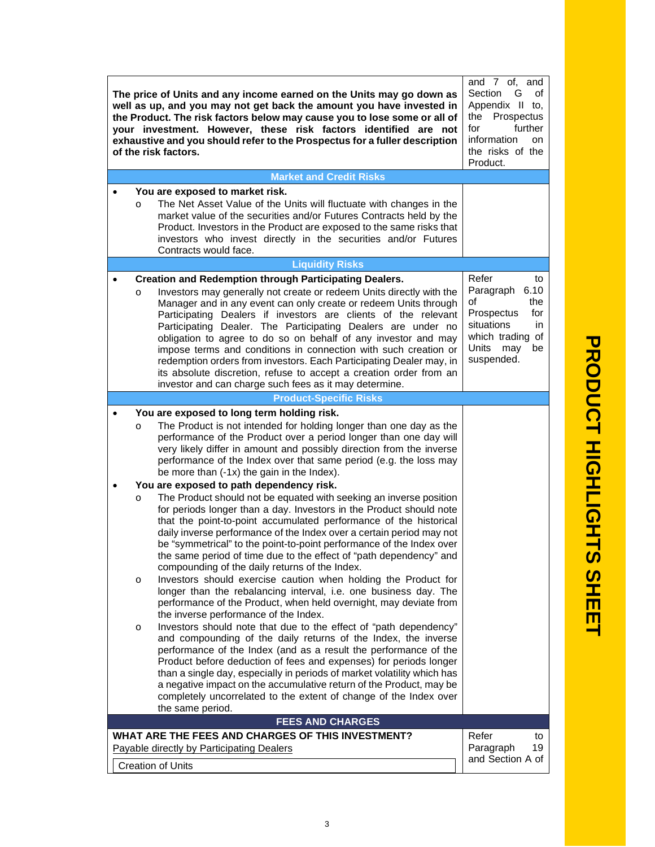| The price of Units and any income earned on the Units may go down as<br>well as up, and you may not get back the amount you have invested in<br>the Product. The risk factors below may cause you to lose some or all of<br>your investment. However, these risk factors identified are not<br>exhaustive and you should refer to the Prospectus for a fuller description<br>of the risk factors.                                                                                                                                                                                                                                                                                                                                                                                                                                                                                    | and 7 of, and<br>Section<br>G<br>οf<br>Appendix II to,<br>Prospectus<br>the<br>for<br>further<br>information<br>on<br>the risks of the<br>Product. |
|--------------------------------------------------------------------------------------------------------------------------------------------------------------------------------------------------------------------------------------------------------------------------------------------------------------------------------------------------------------------------------------------------------------------------------------------------------------------------------------------------------------------------------------------------------------------------------------------------------------------------------------------------------------------------------------------------------------------------------------------------------------------------------------------------------------------------------------------------------------------------------------|----------------------------------------------------------------------------------------------------------------------------------------------------|
| <b>Market and Credit Risks</b>                                                                                                                                                                                                                                                                                                                                                                                                                                                                                                                                                                                                                                                                                                                                                                                                                                                       |                                                                                                                                                    |
| You are exposed to market risk.<br>The Net Asset Value of the Units will fluctuate with changes in the<br>$\circ$<br>market value of the securities and/or Futures Contracts held by the<br>Product. Investors in the Product are exposed to the same risks that<br>investors who invest directly in the securities and/or Futures<br>Contracts would face.                                                                                                                                                                                                                                                                                                                                                                                                                                                                                                                          |                                                                                                                                                    |
| <b>Liquidity Risks</b>                                                                                                                                                                                                                                                                                                                                                                                                                                                                                                                                                                                                                                                                                                                                                                                                                                                               |                                                                                                                                                    |
| <b>Creation and Redemption through Participating Dealers.</b><br>Investors may generally not create or redeem Units directly with the<br>O<br>Manager and in any event can only create or redeem Units through<br>Participating Dealers if investors are clients of the relevant<br>Participating Dealer. The Participating Dealers are under no<br>obligation to agree to do so on behalf of any investor and may<br>impose terms and conditions in connection with such creation or<br>redemption orders from investors. Each Participating Dealer may, in<br>its absolute discretion, refuse to accept a creation order from an<br>investor and can charge such fees as it may determine.                                                                                                                                                                                         | Refer<br>to<br>Paragraph<br>6.10<br>the<br>οf<br>Prospectus<br>for<br>situations<br>in.<br>which trading of<br>Units<br>may<br>be<br>suspended.    |
| <b>Product-Specific Risks</b>                                                                                                                                                                                                                                                                                                                                                                                                                                                                                                                                                                                                                                                                                                                                                                                                                                                        |                                                                                                                                                    |
| You are exposed to long term holding risk.<br>The Product is not intended for holding longer than one day as the<br>O<br>performance of the Product over a period longer than one day will<br>very likely differ in amount and possibly direction from the inverse<br>performance of the Index over that same period (e.g. the loss may<br>be more than (-1x) the gain in the Index).<br>You are exposed to path dependency risk.<br>The Product should not be equated with seeking an inverse position<br>$\circ$<br>for periods longer than a day. Investors in the Product should note<br>that the point-to-point accumulated performance of the historical<br>daily inverse performance of the Index over a certain period may not<br>be "symmetrical" to the point-to-point performance of the Index over<br>the same period of time due to the effect of "path dependency" and |                                                                                                                                                    |
| compounding of the daily returns of the Index.<br>Investors should exercise caution when holding the Product for<br>$\circ$<br>longer than the rebalancing interval, i.e. one business day. The<br>performance of the Product, when held overnight, may deviate from<br>the inverse performance of the Index.                                                                                                                                                                                                                                                                                                                                                                                                                                                                                                                                                                        |                                                                                                                                                    |
| Investors should note that due to the effect of "path dependency"<br>$\circ$<br>and compounding of the daily returns of the Index, the inverse<br>performance of the Index (and as a result the performance of the<br>Product before deduction of fees and expenses) for periods longer<br>than a single day, especially in periods of market volatility which has<br>a negative impact on the accumulative return of the Product, may be<br>completely uncorrelated to the extent of change of the Index over<br>the same period.                                                                                                                                                                                                                                                                                                                                                   |                                                                                                                                                    |
| <b>FEES AND CHARGES</b>                                                                                                                                                                                                                                                                                                                                                                                                                                                                                                                                                                                                                                                                                                                                                                                                                                                              |                                                                                                                                                    |
| WHAT ARE THE FEES AND CHARGES OF THIS INVESTMENT?<br>Payable directly by Participating Dealers<br><b>Creation of Units</b>                                                                                                                                                                                                                                                                                                                                                                                                                                                                                                                                                                                                                                                                                                                                                           | Refer<br>to<br>Paragraph<br>19<br>and Section A of                                                                                                 |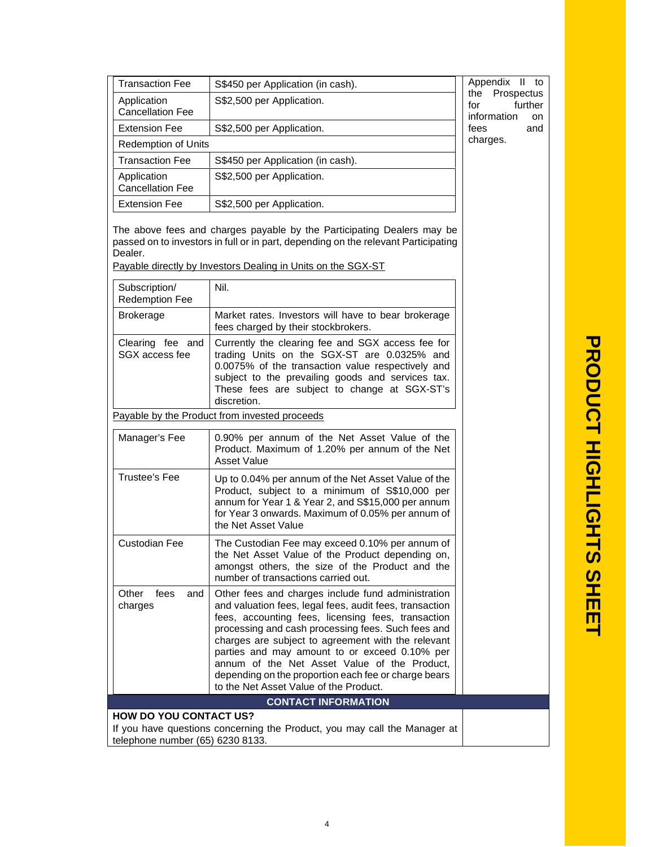| <b>Transaction Fee</b>                 | S\$450 per Application (in cash). | Appendix II to                                                   |
|----------------------------------------|-----------------------------------|------------------------------------------------------------------|
| Application<br><b>Cancellation Fee</b> | S\$2,500 per Application.         | the Prospectus<br>further<br>for<br>information<br><sub>on</sub> |
| <b>Extension Fee</b>                   | S\$2,500 per Application.         | and<br>fees                                                      |
| <b>Redemption of Units</b>             |                                   | charges.                                                         |
| <b>Transaction Fee</b>                 | S\$450 per Application (in cash). |                                                                  |
| Application<br><b>Cancellation Fee</b> | S\$2,500 per Application.         |                                                                  |
| <b>Extension Fee</b>                   | S\$2,500 per Application.         |                                                                  |

The above fees and charges payable by the Participating Dealers may be passed on to investors in full or in part, depending on the relevant Participating Dealer.

Payable directly by Investors Dealing in Units on the SGX-ST

| Subscription/<br><b>Redemption Fee</b>                                                                                                            | Nil.                                                                                                                                                                                                                                                                                                                                                                                                                                                                               |  |  |
|---------------------------------------------------------------------------------------------------------------------------------------------------|------------------------------------------------------------------------------------------------------------------------------------------------------------------------------------------------------------------------------------------------------------------------------------------------------------------------------------------------------------------------------------------------------------------------------------------------------------------------------------|--|--|
| <b>Brokerage</b>                                                                                                                                  | Market rates. Investors will have to bear brokerage<br>fees charged by their stockbrokers.                                                                                                                                                                                                                                                                                                                                                                                         |  |  |
| Clearing fee and<br>SGX access fee                                                                                                                | Currently the clearing fee and SGX access fee for<br>trading Units on the SGX-ST are 0.0325% and<br>0.0075% of the transaction value respectively and<br>subject to the prevailing goods and services tax.<br>These fees are subject to change at SGX-ST's<br>discretion.                                                                                                                                                                                                          |  |  |
| Payable by the Product from invested proceeds                                                                                                     |                                                                                                                                                                                                                                                                                                                                                                                                                                                                                    |  |  |
| Manager's Fee                                                                                                                                     | 0.90% per annum of the Net Asset Value of the<br>Product. Maximum of 1.20% per annum of the Net<br><b>Asset Value</b>                                                                                                                                                                                                                                                                                                                                                              |  |  |
| <b>Trustee's Fee</b>                                                                                                                              | Up to 0.04% per annum of the Net Asset Value of the<br>Product, subject to a minimum of S\$10,000 per<br>annum for Year 1 & Year 2, and S\$15,000 per annum<br>for Year 3 onwards. Maximum of 0.05% per annum of<br>the Net Asset Value                                                                                                                                                                                                                                            |  |  |
| <b>Custodian Fee</b>                                                                                                                              | The Custodian Fee may exceed 0.10% per annum of<br>the Net Asset Value of the Product depending on,<br>amongst others, the size of the Product and the<br>number of transactions carried out.                                                                                                                                                                                                                                                                                      |  |  |
| Other<br>fees<br>and<br>charges                                                                                                                   | Other fees and charges include fund administration<br>and valuation fees, legal fees, audit fees, transaction<br>fees, accounting fees, licensing fees, transaction<br>processing and cash processing fees. Such fees and<br>charges are subject to agreement with the relevant<br>parties and may amount to or exceed 0.10% per<br>annum of the Net Asset Value of the Product,<br>depending on the proportion each fee or charge bears<br>to the Net Asset Value of the Product. |  |  |
| <b>CONTACT INFORMATION</b>                                                                                                                        |                                                                                                                                                                                                                                                                                                                                                                                                                                                                                    |  |  |
| <b>HOW DO YOU CONTACT US?</b><br>والقويم ويتمرز المرويم والمروي والقال<br>والمتمرد المتناومين والمتعالم والمتستور والمتواطن والمتار<br>$-11 + 11$ |                                                                                                                                                                                                                                                                                                                                                                                                                                                                                    |  |  |

If you have questions concerning the Product, you may call the Manager at telephone number (65) 6230 8133.